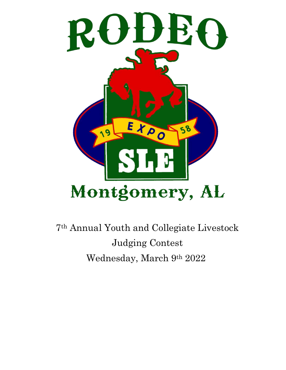

7th Annual Youth and Collegiate Livestock Judging Contest Wednesday, March 9th 2022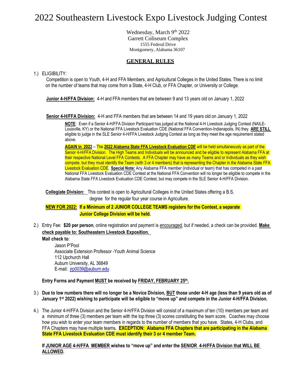## 2022 Southeastern Livestock Expo Livestock Judging Contest

Wednesday, March 9th 2022 Garrett Coliseum Complex 1555 Federal Drive Montgomery, Alabama 36107

### **GENERAL RULES**

1.) ELIGIBILITY:

Competition is open to Youth, 4-H and FFA Members, and Agricultural Colleges in the United States. There is no limit on the number of teams that may come from a State, 4-H Club, or FFA Chapter, or University or College.

**Junior 4-H/FFA Division:** 4-H and FFA members that are between 9 and 13 years old on January 1, 2022

**Senior 4-H/FFA Division:** 4-H and FFA members that are between 14 and 19 years old on January 1, 2022

**NOTE**: Even if a Senior 4-H/FFA Division Participant has judged at the National 4-H Livestock Judging Contest (NAILE-Louisville, KY) or the National FFA Livestock Evaluation CDE (National FFA Convention-Indianapolis, IN) they **ARE STILL**  eligible to judge in the SLE Senior 4-H/FFA Livestock Judging Contest as long as they meet the age requirement stated above.

**AGAIN in 2022** – The **2022 Alabama State FFA Livestock Evaluation CDE** will be held simultaneously as part of the Senior 4-H/FFA Division. The High Teams and Individuals will be announced and be eligible to represent Alabama FFA at their respective National Level FFA Contests. A FFA Chapter may have as many Teams and or Individuals as they wish compete, but they must identify the Team (with 3 or 4 members) that is representing the Chapter in the Alabama State FFA Livestock Evaluation CDE. **Special Note:** Any Alabama FFA member (individual or team) that has competed in a past National FFA Livestock Evaluation CDE Contest at the National FFA Convention will no longer be eligible to compete in the Alabama State FFA Livestock Evaluation CDE Contest, but may compete in the SLE Senior 4-H/FFA Division.

**Collegiate Division:** This contest is open to Agricultural Colleges in the United States offering a B.S. degree for the regular four year course in Agriculture.

**NEW FOR 2022: If a Minimum of 2 JUNIOR COLLEGE TEAMS registers for the Contest, a separate Junior College Division will be held.**

2.) Entry Fee: **\$20 per person**, online registration and payment is encouraged, but if needed, a check can be provided. **Make check payable to: Southeastern Livestock Exposition.** 

**Mail check to**:

Jason P'Pool Associate Extension Professor -Youth Animal Science 112 Upchurch Hall Auburn University, AL 36849 E-mail: [jrp0039@auburn.edu](mailto:jrp0039@auburn.edu)

#### **Entry Forms and Payment MUST be received by FRIDAY, FEBRUARY 25 th .**

- 3.) **Due to low numbers there will no longer be a Novice Division, BUT those under 4-H age (less than 9 years old as of January 1st 2022) wishing to participate will be eligible to "move up" and compete in the Junior 4-H/FFA Division.**
- 4.) The Junior 4-H/FFA Division and the Senior 4-H/FFA Division will consist of a maximum of ten (10) members per team and a minimum of three (3) members per team with the top three (3) scores constituting the team score. Coaches may choose how you wish to enter your team members in regards to the number of members that you have. States, 4-H Clubs, and FFA Chapters may have multiple teams**. EXCEPTION: Alabama FFA Chapters that are participating in the Alabama State FFA Livestock Evaluation CDE must identify their 3 or 4 member Team.**

**If JUNIOR AGE 4-H/FFA MEMBER wishes to "move up" and enter the SENIOR 4-H/FFA Division that WILL BE ALLOWED.**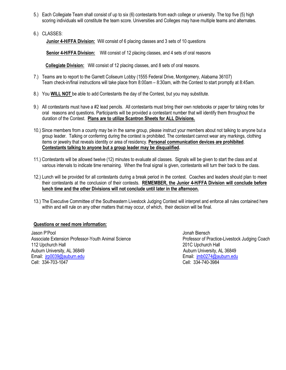- 5.) Each Collegiate Team shall consist of up to six (6) contestants from each college or university. The top five (5) high scoring individuals will constitute the team score. Universities and Colleges may have multiple teams and alternates.
- 6.) CLASSES:

**Junior 4-H/FFA Division:** Will consist of 6 placing classes and 3 sets of 10 questions

**Senior 4-H/FFA Division:** Will consist of 12 placing classes, and 4 sets of oral reasons

**Collegiate Division:** Will consist of 12 placing classes, and 8 sets of oral reasons.

- 7.) Teams are to report to the Garrett Coliseum Lobby (1555 Federal Drive, Montgomery, Alabama 36107) Team check-in/final instructions will take place from 8:00am – 8:30am, with the Contest to start promptly at 8:45am.
- 8.) You **WILL NOT** be able to add Contestants the day of the Contest, but you may substitute.
- 9.) All contestants must have a #2 lead pencils. All contestants must bring their own notebooks or paper for taking notes for oral reasons and questions. Participants will be provided a contestant number that will identify them throughout the duration of the Contest. **Plans are to utilize Scantron Sheets for ALL Divisions.**
- 10.) Since members from a county may be in the same group, please instruct your members about not talking to anyone but a group leader. Talking or conferring during the contest is prohibited. The contestant cannot wear any markings, clothing items or jewelry that reveals identity or area of residency. **Personal communication devices are prohibited**. **Contestants talking to anyone but a group leader may be disqualified.**
- 11.) Contestants will be allowed twelve (12) minutes to evaluate all classes. Signals will be given to start the class and at various intervals to indicate time remaining. When the final signal is given, contestants will turn their back to the class.
- 12.) Lunch will be provided for all contestants during a break period in the contest. Coaches and leaders should plan to meet their contestants at the conclusion of their contests. **REMEMBER, the Junior 4-H/FFA Division will conclude before lunch time and the other Divisions will not conclude until later in the afternoon.**
- 13.) The Executive Committee of the Southeastern Livestock Judging Contest will interpret and enforce all rules contained here within and will rule on any other matters that may occur, of which, their decision will be final.

#### **Questions or need more information:**

Jason P'Pool Jonah Biensch Associate Extension Professor-Youth Animal Science **Professor of Practice-Livestock Judging Coach** 112 Upchurch Hall 201C Upchurch Hall Auburn University, AL 36849 Auburn University, AL 36849 Email: [jrp0039@auburn.edu](mailto:jrp0039@auburn.edu) etti ali etti ali etti ali etti ali etti ali etti ali etti ali etti ali etti ali etti a Cell: 334-703-1047 Cell: 334-740-3984